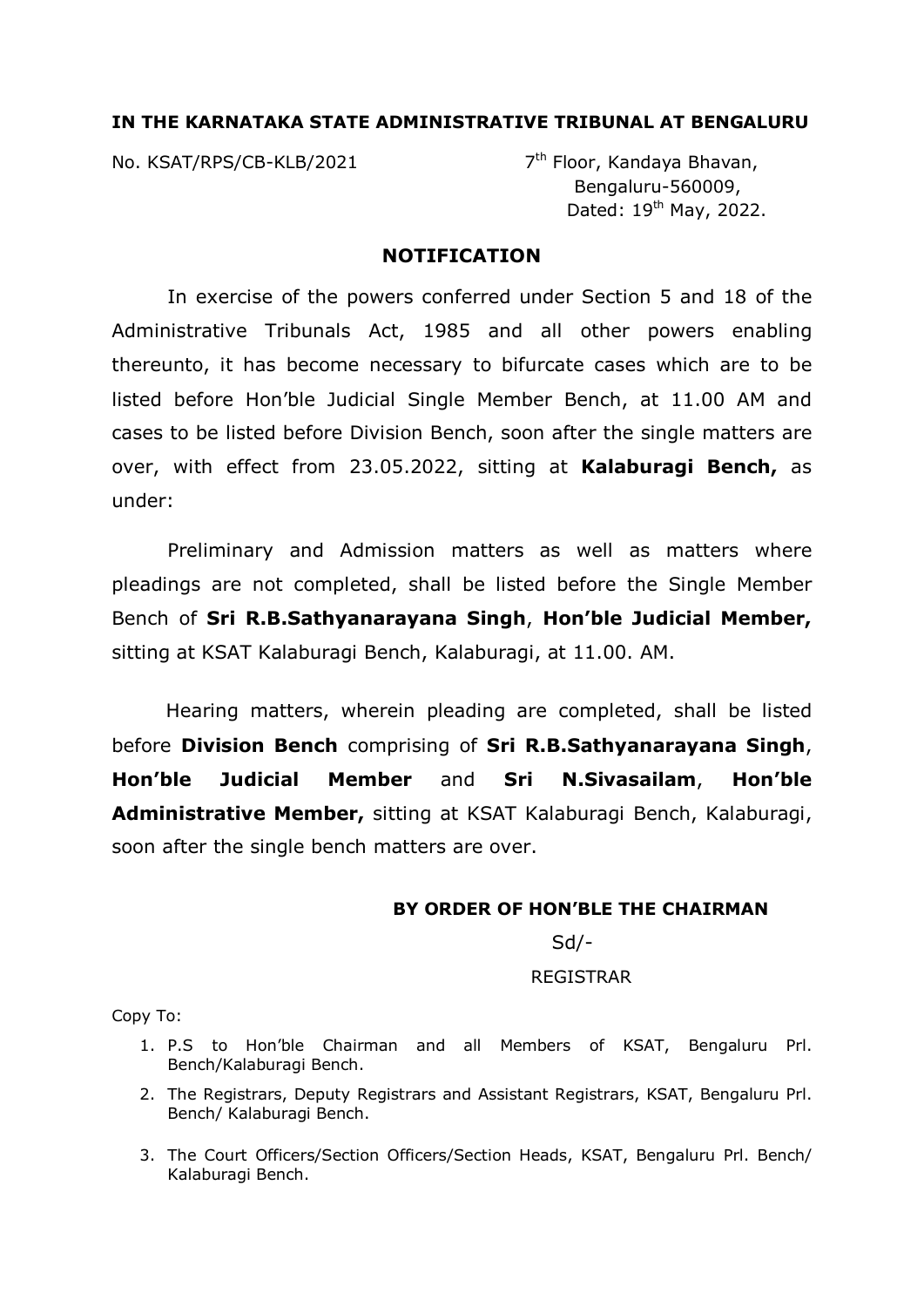## **IN THE KARNATAKA STATE ADMINISTRATIVE TRIBUNAL AT BENGALURU**

No. KSAT/RPS/CB-KLB/2021 7<sup>th</sup> Floor, Kandaya Bhavan,

 Bengaluru-560009, Dated: 19<sup>th</sup> May, 2022.

## **NOTIFICATION**

In exercise of the powers conferred under Section 5 and 18 of the Administrative Tribunals Act, 1985 and all other powers enabling thereunto, it has become necessary to bifurcate cases which are to be listed before Hon'ble Judicial Single Member Bench, at 11.00 AM and cases to be listed before Division Bench, soon after the single matters are over, with effect from 23.05.2022, sitting at **Kalaburagi Bench,** as under:

Preliminary and Admission matters as well as matters where pleadings are not completed, shall be listed before the Single Member Bench of **Sri R.B.Sathyanarayana Singh**, **Hon'ble Judicial Member,** sitting at KSAT Kalaburagi Bench, Kalaburagi, at 11.00. AM.

 Hearing matters, wherein pleading are completed, shall be listed before **Division Bench** comprising of **Sri R.B.Sathyanarayana Singh**, **Hon'ble Judicial Member** and **Sri N.Sivasailam**, **Hon'ble**  Administrative Member, sitting at KSAT Kalaburagi Bench, Kalaburagi, soon after the single bench matters are over.

## **BY ORDER OF HON'BLE THE CHAIRMAN**

Sd/-

## REGISTRAR

Copy To:

- 1. P.S to Hon'ble Chairman and all Members of KSAT, Bengaluru Prl. Bench/Kalaburagi Bench.
- 2. The Registrars, Deputy Registrars and Assistant Registrars, KSAT, Bengaluru Prl. Bench/ Kalaburagi Bench.
- 3. The Court Officers/Section Officers/Section Heads, KSAT, Bengaluru Prl. Bench/ Kalaburagi Bench.